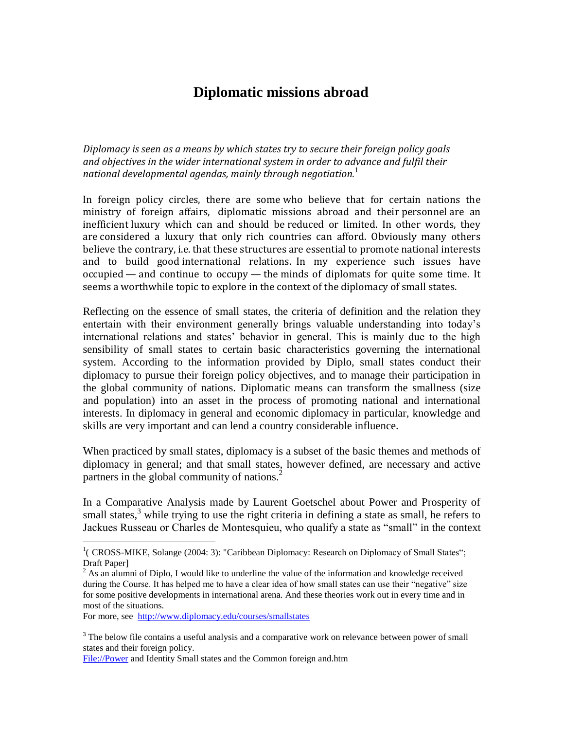## **Diplomatic missions abroad**

*Diplomacy is seen as a means by which states try to secure their foreign policy goals and objectives in the wider international system in order to advance and fulfil their national developmental agendas, mainly through negotiation.*<sup>1</sup>

In foreign policy circles, there are some who believe that for certain nations the ministry of foreign affairs, diplomatic missions abroad and their personnel are an inefficient luxury which can and should be reduced or limited. In other words, they are considered a luxury that only rich countries can afford. Obviously many others believe the contrary, i.e. that these structures are essential to promote national interests and to build good international relations. In my experience such issues have occupied — and continue to occupy — the minds of diplomats for quite some time. It seems a worthwhile topic to explore in the context of the diplomacy of small states.

Reflecting on the essence of small states, the criteria of definition and the relation they entertain with their environment generally brings valuable understanding into today's international relations and states' behavior in general. This is mainly due to the high sensibility of small states to certain basic characteristics governing the international system. According to the information provided by Diplo, small states conduct their diplomacy to pursue their foreign policy objectives, and to manage their participation in the global community of nations. Diplomatic means can transform the smallness (size and population) into an asset in the process of promoting national and international interests. In diplomacy in general and economic diplomacy in particular, knowledge and skills are very important and can lend a country considerable influence.

When practiced by small states, diplomacy is a subset of the basic themes and methods of diplomacy in general; and that small states, however defined, are necessary and active partners in the global community of nations.<sup>2</sup>

In a Comparative Analysis made by Laurent Goetschel about Power and Prosperity of small states, $3$  while trying to use the right criteria in defining a state as small, he refers to Jackues Russeau or Charles de Montesquieu, who qualify a state as "small" in the context

For more, see<http://www.diplomacy.edu/courses/smallstates>

 $\overline{a}$ 

[File://Power](file://Power) and Identity Small states and the Common foreign and.htm

<sup>&</sup>lt;sup>1</sup> (CROSS-MIKE, Solange (2004: 3): "Caribbean Diplomacy: Research on Diplomacy of Small States"; Draft Paper]

 $^{2}$  As an alumni of Diplo, I would like to underline the value of the information and knowledge received during the Course. It has helped me to have a clear idea of how small states can use their "negative" size for some positive developments in international arena. And these theories work out in every time and in most of the situations.

<sup>&</sup>lt;sup>3</sup> The below file contains a useful analysis and a comparative work on relevance between power of small states and their foreign policy.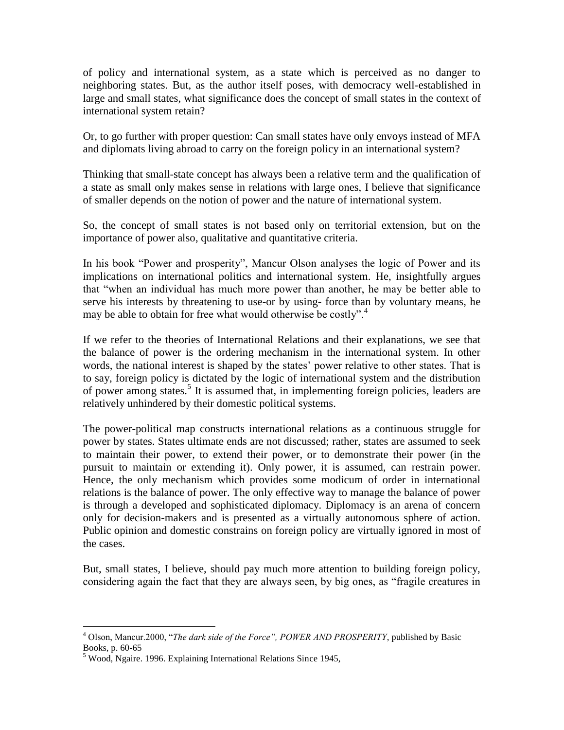of policy and international system, as a state which is perceived as no danger to neighboring states. But, as the author itself poses, with democracy well-established in large and small states, what significance does the concept of small states in the context of international system retain?

Or, to go further with proper question: Can small states have only envoys instead of MFA and diplomats living abroad to carry on the foreign policy in an international system?

Thinking that small-state concept has always been a relative term and the qualification of a state as small only makes sense in relations with large ones, I believe that significance of smaller depends on the notion of power and the nature of international system.

So, the concept of small states is not based only on territorial extension, but on the importance of power also, qualitative and quantitative criteria.

In his book "Power and prosperity", Mancur Olson analyses the logic of Power and its implications on international politics and international system. He, insightfully argues that "when an individual has much more power than another, he may be better able to serve his interests by threatening to use-or by using- force than by voluntary means, he may be able to obtain for free what would otherwise be costly".<sup>4</sup>

If we refer to the theories of International Relations and their explanations, we see that the balance of power is the ordering mechanism in the international system. In other words, the national interest is shaped by the states' power relative to other states. That is to say, foreign policy is dictated by the logic of international system and the distribution of power among states.<sup>5</sup> It is assumed that, in implementing foreign policies, leaders are relatively unhindered by their domestic political systems.

The power-political map constructs international relations as a continuous struggle for power by states. States ultimate ends are not discussed; rather, states are assumed to seek to maintain their power, to extend their power, or to demonstrate their power (in the pursuit to maintain or extending it). Only power, it is assumed, can restrain power. Hence, the only mechanism which provides some modicum of order in international relations is the balance of power. The only effective way to manage the balance of power is through a developed and sophisticated diplomacy. Diplomacy is an arena of concern only for decision-makers and is presented as a virtually autonomous sphere of action. Public opinion and domestic constrains on foreign policy are virtually ignored in most of the cases.

But, small states, I believe, should pay much more attention to building foreign policy, considering again the fact that they are always seen, by big ones, as "fragile creatures in

 $\overline{a}$ <sup>4</sup> Olson, Mancur.2000, "*The dark side of the Force", POWER AND PROSPERITY*, published by Basic Books, p. 60-65

 $<sup>5</sup>$  Wood, Ngaire. 1996. Explaining International Relations Since 1945,</sup>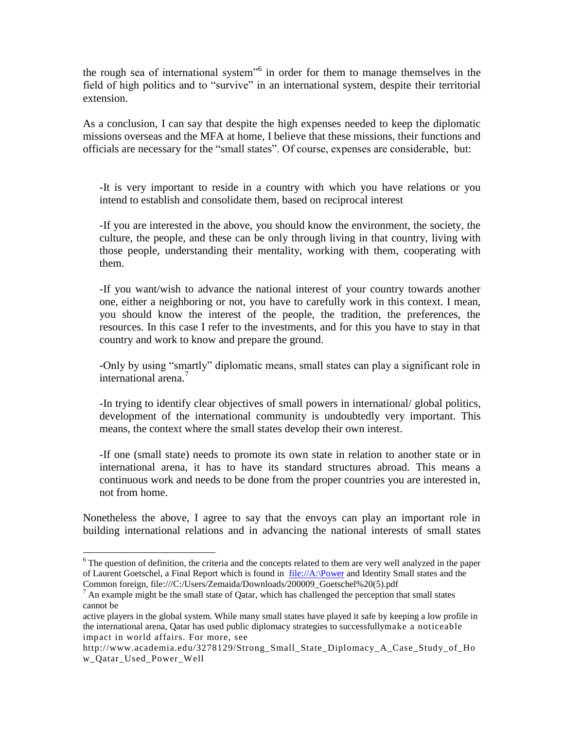the rough sea of international system<sup>56</sup> in order for them to manage themselves in the field of high politics and to "survive" in an international system, despite their territorial extension.

As a conclusion, I can say that despite the high expenses needed to keep the diplomatic missions overseas and the MFA at home, I believe that these missions, their functions and officials are necessary for the "small states". Of course, expenses are considerable, but:

-It is very important to reside in a country with which you have relations or you intend to establish and consolidate them, based on reciprocal interest

-If you are interested in the above, you should know the environment, the society, the culture, the people, and these can be only through living in that country, living with those people, understanding their mentality, working with them, cooperating with them.

-If you want/wish to advance the national interest of your country towards another one, either a neighboring or not, you have to carefully work in this context. I mean, you should know the interest of the people, the tradition, the preferences, the resources. In this case I refer to the investments, and for this you have to stay in that country and work to know and prepare the ground.

-Only by using "smartly" diplomatic means, small states can play a significant role in international arena.<sup>7</sup>

-In trying to identify clear objectives of small powers in international/ global politics, development of the international community is undoubtedly very important. This means, the context where the small states develop their own interest.

-If one (small state) needs to promote its own state in relation to another state or in international arena, it has to have its standard structures abroad. This means a continuous work and needs to be done from the proper countries you are interested in, not from home.

Nonetheless the above, I agree to say that the envoys can play an important role in building international relations and in advancing the national interests of small states

 $\overline{a}$ 

 $6$  The question of definition, the criteria and the concepts related to them are very well analyzed in the paper of Laurent Goetschel, a Final Report which is found in [file://A:\Power](file:///D:/Zemaida/DOK.KOMPJUTERI%20VJETER/Dokumenta/Punimet%20e%20Zemaida/Power) and Identity Small states and the Common foreign, [file:///C:/Users/Zemaida/Downloads/200009\\_Goetschel%20\(5\).pdf](../../AppData/Local/Microsoft/Windows/Temporary%20Internet%20Files/Content.Outlook/Downloads/200009_Goetschel%20(5).pdf)

 $<sup>7</sup>$  An example might be the small state of Qatar, which has challenged the perception that small states</sup> cannot be

active players in the global system. While many small states have played it safe by keeping a low profile in the international arena, Qatar has used public diplomacy strategies to successfullymake a noticeable impact in world affairs. For more, see

http://www.academia.edu/3278129/Strong\_Small\_State\_Diplomacy\_A\_Case\_Study\_of\_Ho w\_Qatar\_Used\_Power\_Well